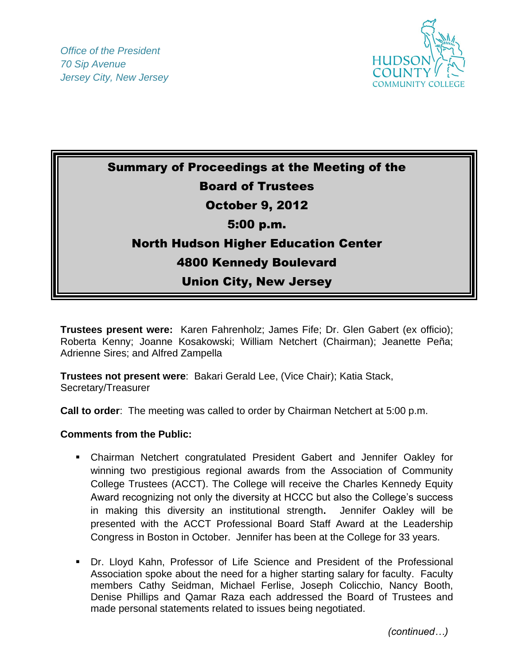

Summary of Proceedings at the Meeting of the Board of Trustees October 9, 2012 5:00 p.m. North Hudson Higher Education Center 4800 Kennedy Boulevard Union City, New Jersey

**Trustees present were:** Karen Fahrenholz; James Fife; Dr. Glen Gabert (ex officio); Roberta Kenny; Joanne Kosakowski; William Netchert (Chairman); Jeanette Peña; Adrienne Sires; and Alfred Zampella

**Trustees not present were**: Bakari Gerald Lee, (Vice Chair); Katia Stack, Secretary/Treasurer

**Call to order**: The meeting was called to order by Chairman Netchert at 5:00 p.m.

## **Comments from the Public:**

- Chairman Netchert congratulated President Gabert and Jennifer Oakley for winning two prestigious regional awards from the Association of Community College Trustees (ACCT). The College will receive the Charles Kennedy Equity Award recognizing not only the diversity at HCCC but also the College's success in making this diversity an institutional strength**.** Jennifer Oakley will be presented with the ACCT Professional Board Staff Award at the Leadership Congress in Boston in October. Jennifer has been at the College for 33 years.
- Dr. Lloyd Kahn, Professor of Life Science and President of the Professional Association spoke about the need for a higher starting salary for faculty. Faculty members Cathy Seidman, Michael Ferlise, Joseph Colicchio, Nancy Booth, Denise Phillips and Qamar Raza each addressed the Board of Trustees and made personal statements related to issues being negotiated.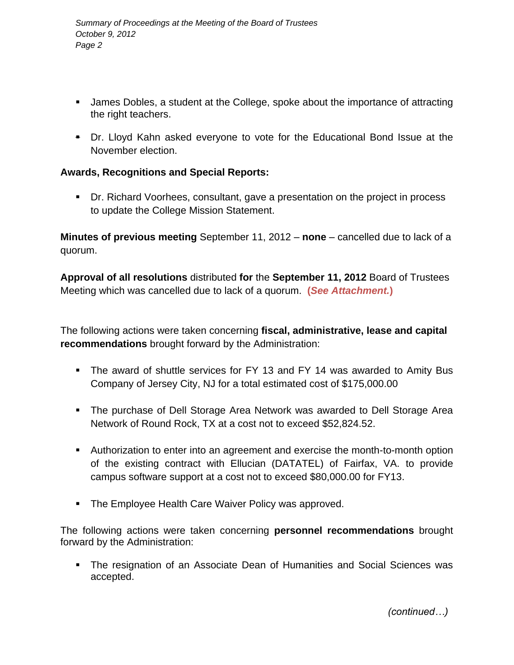- **James Dobles, a student at the College, spoke about the importance of attracting** the right teachers.
- Dr. Lloyd Kahn asked everyone to vote for the Educational Bond Issue at the November election.

## **Awards, Recognitions and Special Reports:**

 Dr. Richard Voorhees, consultant, gave a presentation on the project in process to update the College Mission Statement.

**Minutes of previous meeting** September 11, 2012 – **none** – cancelled due to lack of a quorum.

**Approval of all resolutions** distributed **for** the **September 11, 2012** Board of Trustees Meeting which was cancelled due to lack of a quorum. **(***See Attachment.***)**

The following actions were taken concerning **fiscal, administrative, lease and capital recommendations** brought forward by the Administration:

- The award of shuttle services for FY 13 and FY 14 was awarded to Amity Bus Company of Jersey City, NJ for a total estimated cost of \$175,000.00
- The purchase of Dell Storage Area Network was awarded to Dell Storage Area Network of Round Rock, TX at a cost not to exceed \$52,824.52.
- Authorization to enter into an agreement and exercise the month-to-month option of the existing contract with Ellucian (DATATEL) of Fairfax, VA. to provide campus software support at a cost not to exceed \$80,000.00 for FY13.
- **The Employee Health Care Waiver Policy was approved.**

The following actions were taken concerning **personnel recommendations** brought forward by the Administration:

 The resignation of an Associate Dean of Humanities and Social Sciences was accepted.

 *(continued…)*